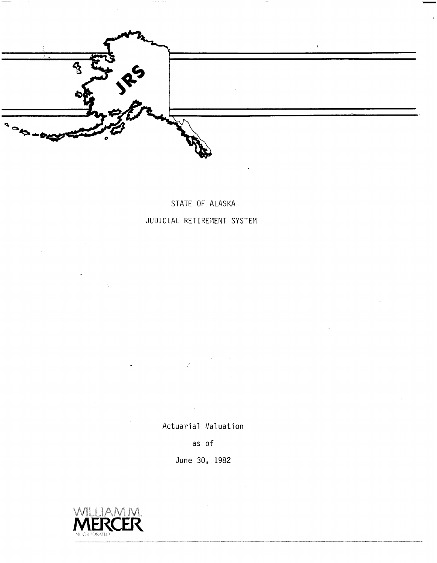

## STATE OF ALASKA JUDICIAL RETIREMENT SYSTEM

Actuarial Valuation

as of

June 30, 1982

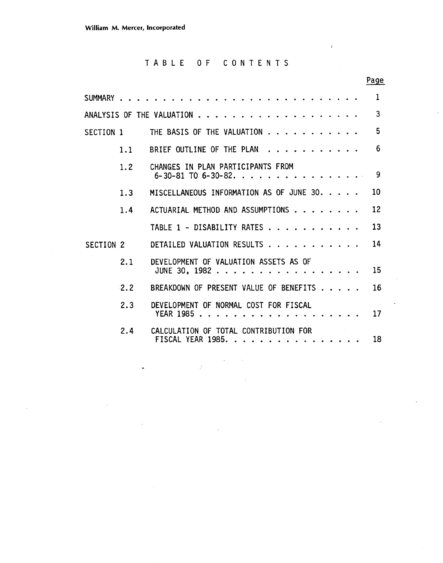## TABLE OF CONTENTS

Page

 $\bar{J}$ 

|           |     |                                                                    | 1  |
|-----------|-----|--------------------------------------------------------------------|----|
|           |     | ANALYSIS OF THE VALUATION                                          | 3  |
|           |     | SECTION 1 THE BASIS OF THE VALUATION $\ldots \ldots \ldots \ldots$ | 5  |
|           | 1.1 | BRIEF OUTLINE OF THE PLAN                                          | 6  |
|           | 1.2 | CHANGES IN PLAN PARTICIPANTS FROM<br>6-30-81 T0 6-30-82. 9         |    |
|           | 1.3 | MISCELLANEOUS INFORMATION AS OF JUNE 30.                           | 10 |
|           | 1.4 | ACTUARIAL METHOD AND ASSUMPTIONS                                   | 12 |
|           |     | TABLE 1 - DISABILITY RATES                                         | 13 |
| SECTION 2 |     | DETAILED VALUATION RESULTS                                         | 14 |
|           | 2.1 | DEVELOPMENT OF VALUATION ASSETS AS OF<br>JUNE 30, 1982             | 15 |
|           | 2.2 | BREAKDOWN OF PRESENT VALUE OF BENEFITS                             | 16 |
|           | 2.3 | DEVELOPMENT OF NORMAL COST FOR FISCAL                              | 17 |
|           | 2.4 | CALCULATION OF TOTAL CONTRIBUTION FOR<br>FISCAL YEAR 1985.         | 18 |

ý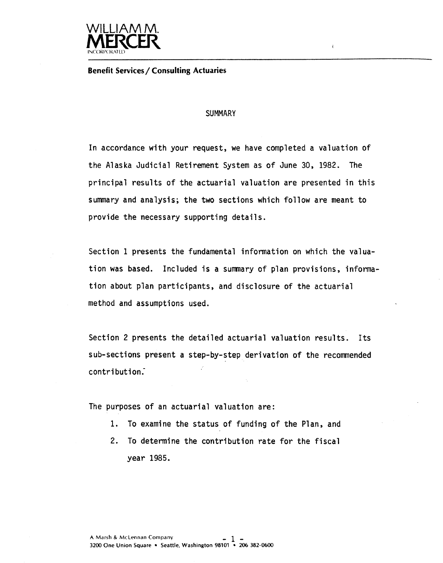

**Benefit Services/ Consulting Actuaries** 

#### **SUMMARY**

 $\epsilon$ 

In accordance with your request, we have completed a valuation of the Alaska Judicial Retirement System as of June 30, 1982. The principal results of the actuarial valuation are presented in this summary and analysis; the two sections which follow are meant to provide the necessary supporting details.

Section 1 presents the fundamental information on which the valuation was based. Included is a sumnary of plan provisions, information about plan participants, and disclosure of the actuarial method and assumptions used.

Section 2 presents the detailed actuarial valuation results. Its sub-sections present a step-by-step derivation of the recomnended contribution.-

The purposes of an actuarial valuation are:

- **1.** To examine the status of funding of the Plan, and
- 2. To determine the contribution rate for the fiscal year 1985.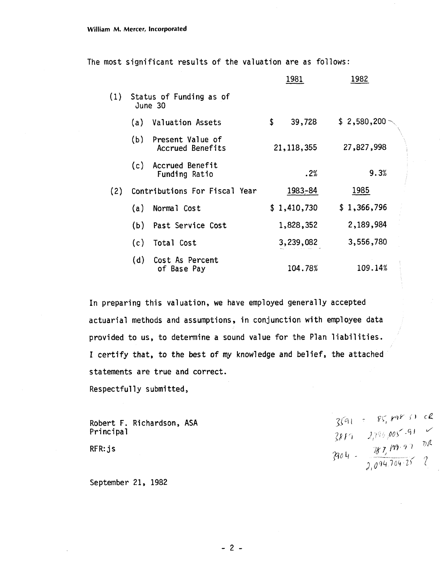The most significant results of the valuation are as follows:

|     |      |                                      | 1981         | 1982              |
|-----|------|--------------------------------------|--------------|-------------------|
| (1) |      | Status of Funding as of<br>June 30   |              |                   |
|     | (a)  | <b>Valuation Assets</b>              | \$<br>39,728 | $$2,580,200 \sim$ |
|     | (b)  | Present Value of<br>Accrued Benefits | 21, 118, 355 | 27,827,998        |
|     | (c). | Accrued Benefit<br>Funding Ratio     | .2%          | 9.3%              |
| (2) |      | Contributions For Fiscal Year        | 1983-84      | 1985              |
|     | (a)  | Normal Cost                          | \$1,410,730  | \$1,366,796       |
|     | (b)  | Past Service Cost                    | 1,828,352    | 2,189,984         |
|     | (c)  | Total Cost                           | 3,239,082    | 3,556,780         |
|     | (d)  | Cost As Percent<br>of Base Pay       | 104.78%      | 109.14%           |

In preparing this valuation, we have employed generally accepted actuarial methods and assumptions, in conjunction with employee data provided to us, to determine a sound value for the Plan liabilities. I certify that, to the best of my knowledge and belief, the attached statements are true and correct.

Respectfully submitted,

Robert F. Richardson, ASA Principal

RFR: js

September 21, 1982

 $\frac{3591}{3817} = \frac{85,89831}{2,796,005-91} = \frac{2}{10}$ <br> $\frac{3817}{3,004} = \frac{387,199.93}{2,094,704.25} = 2$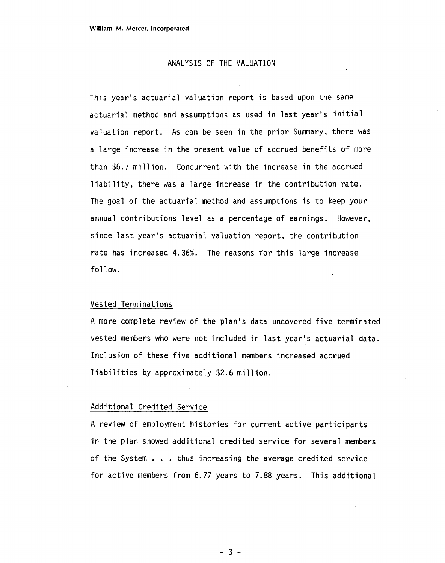#### ANALYSIS OF THE VALUATION

This year's actuarial valuation report is based upon the same actuarial method and assumptions as used in last year's initial valuation report. As can be seen in the prior Summary, there was a large increase in the present value of accrued benefits of more than \$6.7 mill ion. Concurrent with the increase in the accrued liability, there was a large increase in the contribution rate. The goal of the actuarial method and assumptions is to keep your annual contributions level as a percentage of earnings. However, since last year's actuarial valuation report, the contribution rate has increased 4.36%. The reasons for this large increase follow.

#### Vested Terminations

A more complete review of the plan's data uncovered five terminated vested members who were not included in last year's actuarial data. Inclusion of these five additional members increased accrued liabilities by approximately \$2.6 million.

#### Additional Credited Service

A review of employment histories for current active participants in the plan showed additional credited service for several members of the System . . . thus increasing the average credited service for active members from 6.77 years to 7.88 years. This additional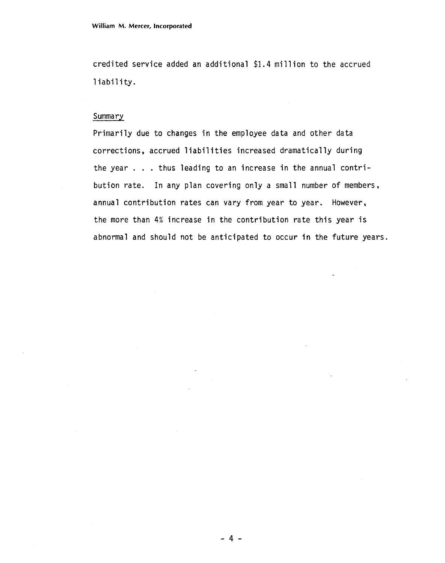credited service added an additional \$1.4 million to the accrued liability.

#### Summary

Primarily due to changes in the employee data and other data corrections, accrued liabilities increased dramatically during the year . . . thus leading to an increase in the annual contribution rate. In any plan covering only a small number of members, annual contribution rates can vary from year to year. However, the more than 4% increase in the contribution rate this year is abnormal and should not be anticipated to occur in the future years.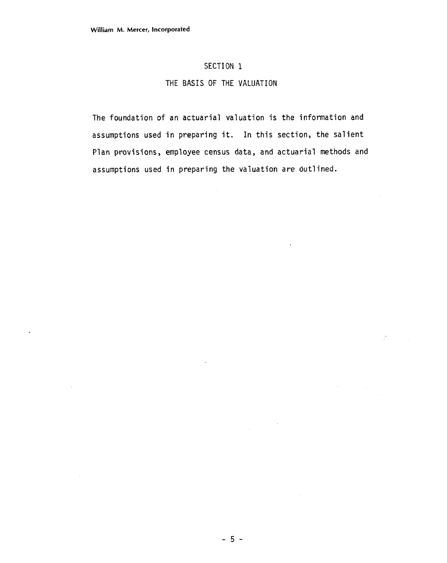#### **SECTION 1**

#### **THE BASIS OF THE VALUATION**

The foundation of an actuarial valuation is the information and assumptions used in preparing it. In this section, the salient Plan provisions, employee census data, and actuarial methods and assumptions used in preparing the valuation are dutlined.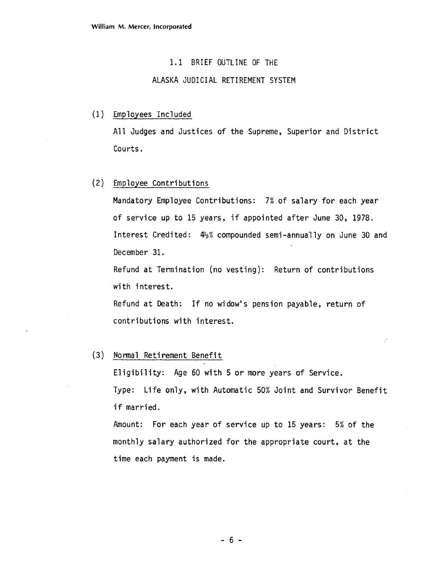#### 1.1 BRIEF OUTLINE OF THE

#### ALASKA JUDICIAL RETIREMENT SYSTEM

#### (1) Employees Included

All Judges and Justices of the Supreme, Superior and District Courts.

## (2) Employee Contributions

Mandatory Employee Contributions: 7% of salary for each year of service up to 15 years, if appointed after June 30, 1978. Interest Credited: &% compounded semi-annually on June 30 and December 31.

Refund at Termination (no vesting): Return of contributions with interest.

Refund at Death: If no widow's pension payable, return of contributions with interest.

#### $(3)$ Normal Retirement Benefit

Eligibility: Age 60 with 5 or more years of Service. Type: Life only, with Automatic 50% Joint and Survivor Benefit if married.

Amount: For each year of service up to 15 years: 5% of the monthly salary authorized for the appropriate court, at the time each payment is made.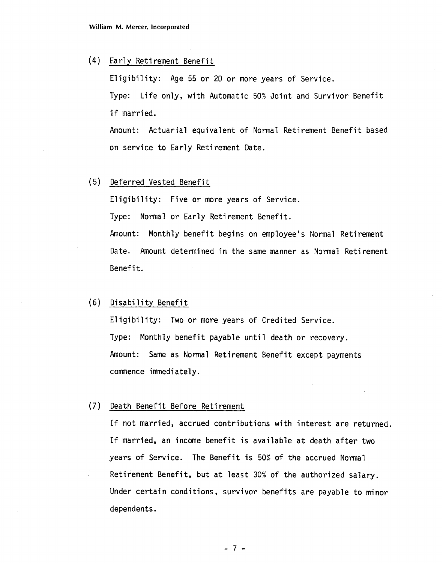(4) Early Reti rement Benefit

El igibil ity: Age 55 or 20 or more years of Service.

Type: Life only, with Automatic 50% Joint and Survivor Benefit if married.

Amount: Actuarial equivalent of Normal Retirement Benefit based on service to Early Retirement Date.

( 5) Deferred Vested Benefit

Eligibility: Five or more years of Service. Type: Normal or Early Retirement Benefit. Amount: Monthly benefit begins on employee's Normal Retirement Date. Amount determined in the same manner as Normal Retirement Benefit.

#### (6) Disability Benefit

Eligibility: Two or more years of Credited Service. Type: Monthly benefit payable until death or recovery. Amount: Same as Normal Retirement Benefit except payments comnence immediately.

#### **(7)** Death Benefit Before Retirement

If not married, accrued contributions with interest are returned. If married, an income benefit is available at death after two years of Service. The Benefit is 50% of the accrued Normal Retirement Benefit, but at least 30% of the authorized salary. Under certain conditions, survivor benefits are payable to minor dependents.

 $-7-$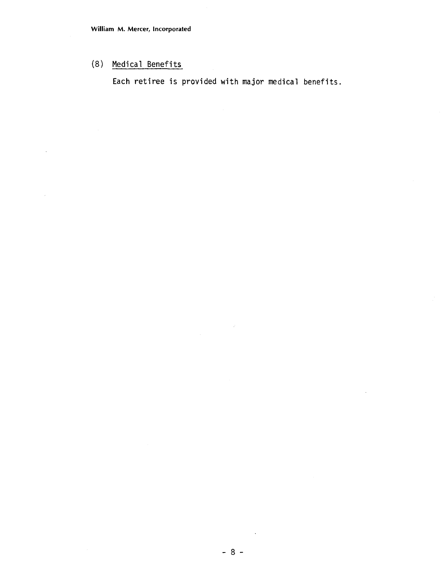## (8) Medical Benefits

 $\bar{\mathcal{A}}$ 

Each retiree is provided with major medical benefits.

 $\bar{\beta}$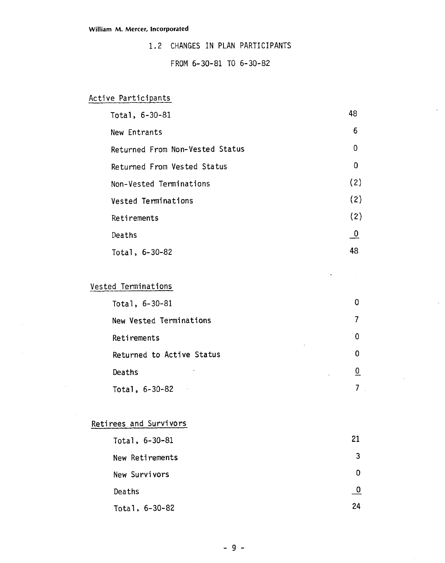1.2 CHANGES IN PLAN PARTICIPANTS

#### FROM 6-30-81 TO 6-30-82

## Active Participants

| Total, 6-30-81                  | 48                       |
|---------------------------------|--------------------------|
| New Entrants                    | 6                        |
| Returned From Non-Vested Status | 0                        |
| Returned From Vested Status     | $\overline{0}$           |
| Non-Vested Terminations         | (2)                      |
| Vested Terminations             | (2)                      |
| Retirements                     | (2)                      |
| Deaths                          | $\overline{\phantom{0}}$ |
| Total, 6-30-82                  | 48                       |

## Vested Terminations

| Total, 6-30-81            |   |
|---------------------------|---|
| New Vested Terminations   |   |
| Retirements               | 0 |
| Returned to Active Status | n |
| Deaths                    | 0 |
| Total, 6-30-82            |   |

## Retirees and Survivors

 $\mathcal{L}_{\rm{in}}$ 

| Total, 6-30-81   | 21 |
|------------------|----|
| New Retirements  | 3  |
| New Survivors    | 0  |
| Deaths           | -0 |
| Total, $6-30-82$ | 24 |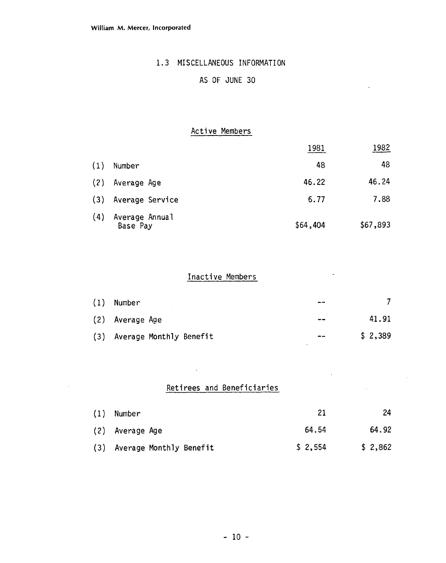## 1.3 MISCELLANEOUS INFORMATION

## AS OF JUNE 30

## Active Members

|     |                            | 1981     | 1982     |
|-----|----------------------------|----------|----------|
| (1) | Number                     | 48       | 48       |
| (2) | Average Age                | 46.22    | 46.24    |
| (3) | Average Service            | 6.77     | 7.88     |
| (4) | Average Annual<br>Base Pay | \$64,404 | \$67,893 |

## Inactive Members

| (1) | Number                      | $- -$ |         |
|-----|-----------------------------|-------|---------|
|     | (2) Average Age             | $- -$ | 41.91   |
|     | (3) Average Monthly Benefit | $- -$ | \$2,389 |

## Retirees and Beneficiaries

 $\sim$ 

 $\mathcal{L}$ 

| $(1)$ Number                |         | 24      |
|-----------------------------|---------|---------|
| (2) Average Age             | 64.54   | 64.92   |
| (3) Average Monthly Benefit | \$2,554 | \$2,862 |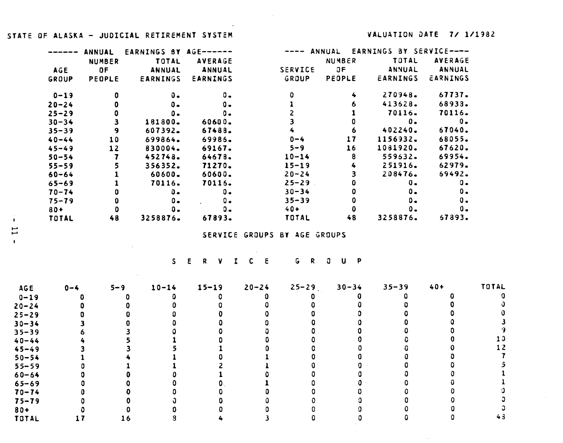#### **STATE OF ALASKA** - **JUDICIAL RETIREMENT SYSTEM VALUATION SATE 7/ 1/1382**

 $\sim 10^{-1}$ 

**Contractor** 

 $\sim$ 

|            | ANNUAL        | EARNINGS BY AGE------ |                |                | ANNUAL        | EARNINGS BY SERVICE---- |                |
|------------|---------------|-----------------------|----------------|----------------|---------------|-------------------------|----------------|
|            | <b>NUMBER</b> | TOTAL                 | <b>AVERAGE</b> |                | <b>NUMBER</b> | TOTAL                   | <b>AVERAGE</b> |
| <b>AGE</b> | OF            | <b>ANNUAL</b>         | ANNUAL         | <b>SERVICE</b> | 0F            | ANNUAL                  | <b>ANNUAL</b>  |
| GROUP      | PEOPLE        | <b>EARNINGS</b>       | EARNINGS       | GROUP          | PEOPLE        | EARNINGS                | EARNINGS       |
| $0 - 19$   | o             | υ.                    | 0.             |                | 4             | 270948.                 | 67737.         |
| $20 - 24$  |               | 0.                    | 0.             |                | 6             | 413628.                 | 68933.         |
| $25 - 29$  |               | Ο.                    | Ο.             |                |               | 70116.                  | 70116.         |
| $30 - 34$  |               | 181800.               | 60600.         |                |               | ο.                      | $0 -$          |
| $35 - 39$  | 9             | 607392.               | 67488.         |                | 6             | 402240.                 | 67040.         |
| $40 - 44$  | 10            | 699864.               | 69986.         | $0 - 4$        | 17            | 1156932.                | 68055.         |
| $45 - 49$  | 12            | 830004.               | 69167.         | $5 - 9$        | 16            | 1081920.                | 67620.         |
| $50 - 54$  |               | 452748                | 64678.         | $10 - 14$      | 8             | 559632.                 | 69954.         |
| $55 - 59$  |               | 356352.               | 71270.         | $15 - 19$      | 4             | 251916.                 | 62979.         |
| $60 - 64$  |               | 60600.                | 60600.         | $20 - 24$      | 3             | 208476.                 | 69492.         |
| $65 - 69$  |               | 70116.                | 70116.         | $25 - 29$      |               | ο.                      | ο.             |
| $70 - 74$  |               | 0.                    | $0 -$          | $30 - 34$      |               | Ο.                      | ο.             |
| $75 - 79$  | 0             | $0 -$                 | 0.             | $35 - 39$      |               | $0 -$                   | 0.             |
| $80 +$     |               | о.                    | ο.             | $40+$          |               | 0.                      | 0.             |
| TOTAL      | 48            | 3258876.              | 67893.         | TOTAL          | 48            | 3258876.                | 67893.         |

**SERVICE GROUPS 6Y AGE GROUPS** 

 $\sim$   $\sim$ **RVICE GROUP** 

 $25 - 29$ **TOTAL AGE**   $20 - 24$  $30 - 34$  $35 - 39$  $40+$  $0 - 4$  $5 - 9$   $10 - 14$  $15 - 19$ **0 0- 19**   $\mathbf{0}$  $\mathbf 0$  $\mathbf{0}$  $\mathbf 0$  $\mathbf{0}$  $\mathbf{0}$  $\mathbf{C}$  $\Omega$  $\mathbf{0}$  $\Omega$ **3 20-24**   $\Omega$  $\mathbf{0}$  $\Omega$  $\mathbf{O}$  $\mathbf 0$  $\Omega$  $\mathbf 0$  $\mathbf{a}$  $\mathbf 0$  $\mathbf 0$ **0 25-29**   $\mathbf{0}$  $\mathbf{0}$  $\mathbf 0$  $\mathbf 0$  $\mathbf 0$  $\mathbf 0$  $\mathbf{0}$  $\mathbf 0$  $\mathbf{0}$  $\Omega$  $\Omega$ **3**   $\mathbf 0$  $\mathbf{a}$  $\mathbf{0}$  $\mathbf{0}$ **30-34**   $\overline{\mathbf{3}}$  $\mathbf 0$  $\mathbf{O}$  $\mathbf 0$  $\mathbf{0}$ **'3**   $\mathbf 0$  $\mathbf{0}$  $\mathbf 0$ **35-39**  6  $\overline{\mathbf{3}}$  $\mathbf 0$  $\mathbf{0}$  $\mathbf{O}$  $\mathbf 0$ **13**   $5\overline{)}$  $\mathbf{r}$  $\Omega$  $\mathbf{0}$ **40-44**   $\ddot{\bullet}$  $\mathbf 0$ **12**   $\overline{\mathbf{3}}$  $\overline{\mathbf{5}}$  $\mathbf{1}$  $\mathbf{a}$  $\mathbf{O}$  $\mathbf 0$  $\mathbf 0$ **45-49**   $\overline{\mathbf{3}}$  $\mathbf{1}$  $\mathbf 0$  $\mathbf{0}$  $\Omega$  $\mathbf{0}$  $\mathbf{O}$ **7**   $\mathbf{1}$  $\overline{4}$  $\mathbf{1}$ **50-54**   $\mathbf 0$  $\Omega$ *5*   $\mathbf{1}$  $\overline{2}$  $\mathbf{1}$  $\mathbf{0}$  $\mathbf 0$ **55-59**   $\Omega$  $\mathbf{1}$  $\mathbf 0$  $\mathbf 0$ **1**   $\mathbf{0}$  $\mathbf{0}$  $\mathbf{1}$  $\mathbf 0$  $\mathbf{0}$  $\mathbf 0$ **6 0- 64**   $\mathbf{0}$  $\mathbf 0$  $\mathbf{0}$  $\mathbf{O}$  $\mathbf 0$  $\mathbf 0$  $\Omega$ **1 65-69**   $\mathbf{0}$  $\mathbf 0$  $\mathbf{1}$ **3**   $\mathbf{0}$  $\mathbf 0$  $\mathbf{0}$  $\bullet$  $\mathbf{0}$  $\mathbf 0$  $\mathbf 0$  $\mathbf 0$  $\mathbf{O}$ **70-74**   $\mathbf 0$  $\Omega$ **3 75-79**   $\Omega$  $\mathbf{0}$  $\mathbf{a}$  $\mathbf 0$  $\mathbf{Q}$  $\mathbf 0$  $\mathbf 0$ **3**   $\mathbf{0}$  $\mathbf 0$  $\mathbf 0$  $\mathbf 0$  $\mathbf{0}$  $\mathbf 0$  $\overline{\phantom{a}}$  $\pmb{0}$ **804**   $\mathbf{0}$ *43*  $\overline{\mathbf{3}}$  $\mathbf{0}$  $\Omega$  $\mathbf{0}$  $\Omega$ **TOTAL**   $17$  $16$  $\bf{3}$  $\overline{4}$ 

 $\mathbf{L}$  $\mathbf{L}$  $\mathbf{I}$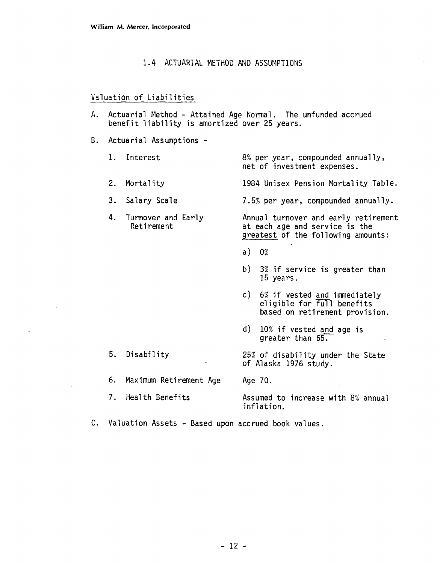#### 1.4 ACTUARIAL METHOD AND ASSUMPTIONS

#### Valuation of Liabilities

- A. Actuarial Method Attained Age Normal. The unfunded accrued benefit liability is amortized over 25 years.
- B. Actuarial Assumptions
	- 1. Interest 8% per year, compounded annually, net of investment expenses.
	- 2. Mortality 1984 Unisex Pension Mortality Table.
	- 3. Salary Scale 7.5% per year, compounded annually.
	- 4. Turnover and Early **Annual turnover and early retirement**<br>Retirement at each age and service is the at each age and service is the greatest of the following amounts:
		- a)  $0\%$
		- b) **3%** if service is greater than 15 years.
		- c) 6% if vested and immediately eligible for full benefits based on retirement provision.
		- **d)** 10% if vested **and** age is greater than 65.
	- 5. Disability 25% of disability under the State of Alaska 1976 study.
	- 6. Maximum Retirement Age Age 70.
	- 7. Heal th Benefits Assumed to increase with 8% annual inflation.
- **C.** Valuation Assets Based upon accrued book values.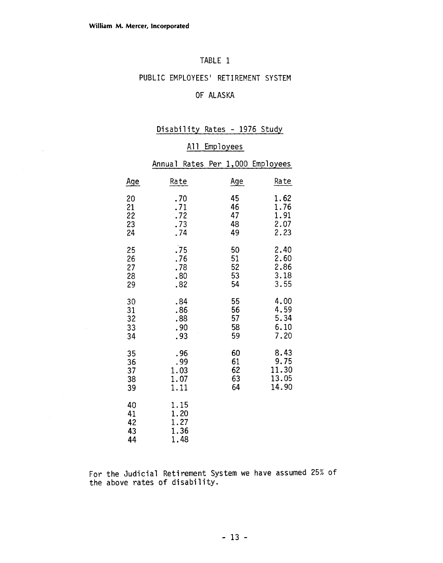$\bar{z}$ 

#### TABLE 1

#### PUBLIC EMPLOYEES' RETIREMENT SYSTEM

## **OF** ALASKA

## Disability Rates - **1976** Study

#### All Employees

|                            | Annual                               | Rates Per 1,000 Employees |       |
|----------------------------|--------------------------------------|---------------------------|-------|
| <u>Age</u>                 | Rate                                 | Age                       | Rate  |
| 20                         | .70                                  | 45                        | 1.62  |
| 21                         | .71                                  | 46                        | 1.76  |
| 22                         | .72                                  | 47                        | 1.91  |
| 23                         | .73                                  | 48                        | 2.07  |
| 24                         | .74                                  | 49                        | 2.23  |
| 25                         | .75                                  | 50                        | 2.40  |
| 26                         | .76                                  | 51                        | 2.60  |
| 27                         | .78                                  | 52                        | 2.86  |
| 28                         | .80                                  | 53                        | 3.18  |
| 29                         | .82                                  | 54                        | 3.55  |
| 30                         | .84                                  | 55                        | 4.00  |
| 31                         | .86                                  | 56                        | 4.59  |
| 32                         | .88                                  | 57                        | 5.34  |
| 33                         | .90                                  | 58                        | 6.10  |
| 34                         | .93                                  | 59                        | 7.20  |
| 35                         | .96                                  | 60                        | 8.43  |
| 36                         | .99                                  | 61                        | 9.75  |
| 37                         | 1.03                                 | 62                        | 11.30 |
| 38                         | 1.07                                 | 63                        | 13.05 |
| 39                         | 1.11                                 | 64                        | 14.90 |
| 40<br>41<br>42<br>43<br>44 | 1.15<br>1.20<br>1.27<br>1.36<br>1.48 |                           |       |

For the Judicial Retirement System we have assumed 25% of the above rates of disability.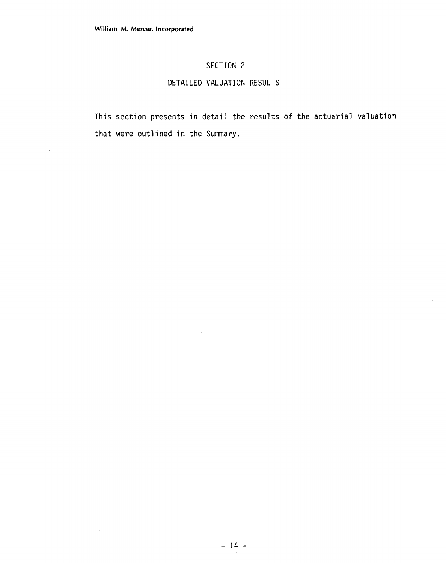## SECTION 2

## DETAILED VALUATION RESULTS

This section presents in detail the results of the actuarial valuation that were outlined in the Summary.

 $\sim 12$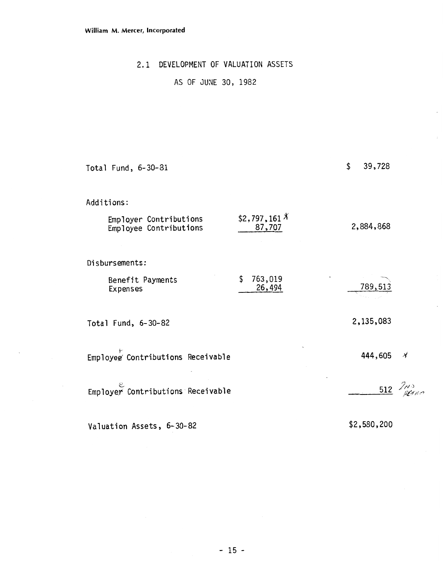## 2.1 DEVELOPMENT OF VALUATION ASSETS

## AS OF JUNE 30, 1982

| Total Fund, 6-30-81                              |                                 | \$<br>39,728   |                    |
|--------------------------------------------------|---------------------------------|----------------|--------------------|
| Additions:                                       |                                 |                |                    |
| Employer Contributions<br>Employee Contributions | \$2,797,161 $^{\chi}$<br>87,707 | 2,884,868      |                    |
| Disbursements:                                   |                                 |                |                    |
| Benefit Payments<br>Expenses                     | \$<br>763,019<br>26,494         | <u>789,513</u> |                    |
| Total Fund, 6-30-82                              |                                 | 2,135,083      |                    |
| Employee Contributions Receivable                |                                 | 444,605        | Å                  |
| Employer Contributions Receivable                |                                 |                | $\frac{512}{}$ /M) |
| Valuation Assets, 6-30-82                        |                                 | \$2,580,200    |                    |

 $\ddot{\phantom{a}}$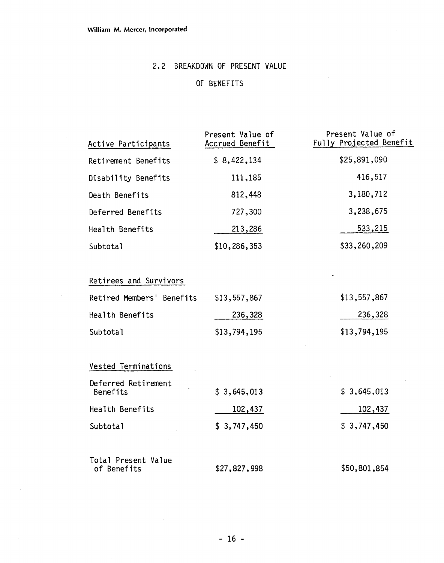$\mathcal{A}$ 

## **2.2** BREAKDOWN **OF** PRESENT VALUE

## OF BENEFITS

| Active Participants                | Present Value of<br>Accrued Benefit | Present Value of<br>Fully Projected Benefit |
|------------------------------------|-------------------------------------|---------------------------------------------|
| Retirement Benefits                | \$8,422,134                         | \$25,891,090                                |
| Disability Benefits                | 111,185                             | 416,517                                     |
| Death Benefits                     | 812,448                             | 3,180,712                                   |
| Deferred Benefits                  | 727,300                             | 3,238,675                                   |
| Health Benefits                    | 213,286                             | 533,215                                     |
| Subtotal                           | \$10,286,353                        | \$33,260,209                                |
|                                    |                                     |                                             |
| Retirees and Survivors             |                                     |                                             |
| Retired Members' Benefits          | \$13,557,867                        | \$13,557,867                                |
| Health Benefits                    | 236,328                             | 236,328                                     |
| Subtotal                           | \$13,794,195                        | \$13,794,195                                |
| Vested Terminations                |                                     |                                             |
| Deferred Retirement<br>Benefits    | \$3,645,013                         | \$3,645,013                                 |
| Health Benefits                    | 102,437                             | 102,437                                     |
| Subtotal                           | \$3,747,450                         | \$3,747,450                                 |
| Total Present Value<br>of Benefits | \$27,827,998                        | \$50,801,854                                |
|                                    |                                     |                                             |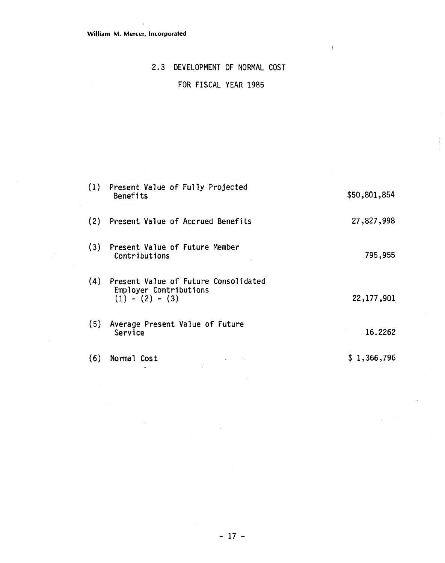## 2.3 DEVELOPMENT OF NORMAL COST

## FOR FISCAL YEAR 1985

| (1) | Present Value of Fully Projected<br>Benefits                                        | \$50,801,854 |
|-----|-------------------------------------------------------------------------------------|--------------|
| (2) | Present Value of Accrued Benefits                                                   | 27,827,998   |
| (3) | Present Value of Future Member<br>Contributions                                     | 795,955      |
| (4) | Present Value of Future Consolidated<br>Employer Contributions<br>$(1) - (2) - (3)$ | 22, 177, 901 |
| (5) | Average Present Value of Future<br>Service                                          | 16.2262      |
| (6) | Normal Cost                                                                         | \$1,366,796  |